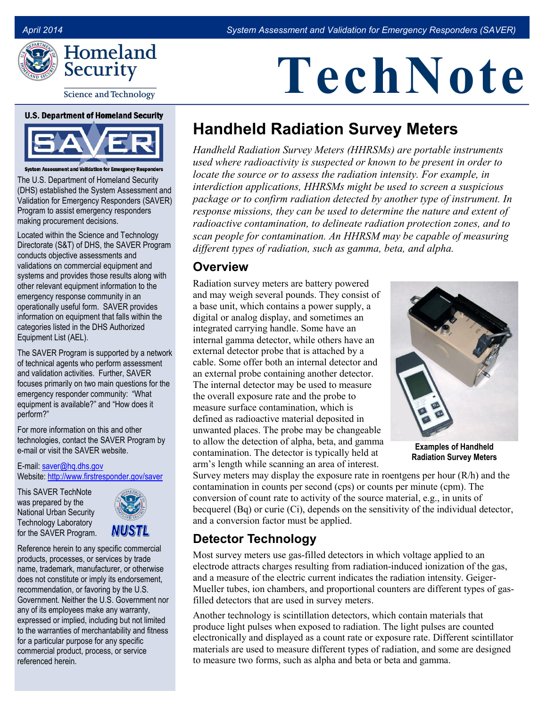

**Science and Technology** 

#### **U.S. Department of Homeland Security**



System Assessment and Validation for Emergency Respo

The U.S. Department of Homeland Security (DHS) established the System Assessment and Validation for Emergency Responders (SAVER) Program to assist emergency responders making procurement decisions.

Located within the Science and Technology Directorate (S&T) of DHS, the SAVER Program conducts objective assessments and validations on commercial equipment and systems and provides those results along with other relevant equipment information to the emergency response community in an operationally useful form. SAVER provides information on equipment that falls within the categories listed in the DHS Authorized Equipment List (AEL).

The SAVER Program is supported by a network of technical agents who perform assessment and validation activities. Further, SAVER focuses primarily on two main questions for the emergency responder community: "What equipment is available?" and "How does it perform?"

For more information on this and other technologies, contact the SAVER Program by e-mail or visit the SAVER website.

E-mail: [saver@hq.dhs.gov](mailto:saver@hq.dhs.gov)  Website[: http://www.firstresponder.gov/saver](http://www.firstresponder.gov/saver) 

This SAVER TechNote was prepared by the National Urban Security Technology Laboratory for the SAVER Program.



Reference herein to any specific commercial products, processes, or services by trade name, trademark, manufacturer, or otherwise does not constitute or imply its endorsement, recommendation, or favoring by the U.S. Government. Neither the U.S. Government nor any of its employees make any warranty, expressed or implied, including but not limited to the warranties of merchantability and fitness for a particular purpose for any specific commercial product, process, or service referenced herein.

# **TechNote**

# **Handheld Radiation Survey Meters**

 *interdiction applications, HHRSMs might be used to screen a suspicious Handheld Radiation Survey Meters (HHRSMs) are portable instruments used where radioactivity is suspected or known to be present in order to locate the source or to assess the radiation intensity. For example, in package or to confirm radiation detected by another type of instrument. In response missions, they can be used to determine the nature and extent of radioactive contamination, to delineate radiation protection zones, and to scan people for contamination. An HHRSM may be capable of measuring different types of radiation, such as gamma, beta, and alpha.* 

#### **Overview**

 arm's length while scanning an area of interest. Radiation survey meters are battery powered and may weigh several pounds. They consist of a base unit, which contains a power supply, a digital or analog display, and sometimes an integrated carrying handle. Some have an internal gamma detector, while others have an external detector probe that is attached by a cable. Some offer both an internal detector and an external probe containing another detector. The internal detector may be used to measure the overall exposure rate and the probe to measure surface contamination, which is defined as radioactive material deposited in unwanted places. The probe may be changeable to allow the detection of alpha, beta, and gamma contamination. The detector is typically held at



**Examples of Handheld Radiation Survey Meters**

 contamination in counts per second (cps) or counts per minute (cpm). The Survey meters may display the exposure rate in roentgens per hour  $(R/h)$  and the conversion of count rate to activity of the source material, e.g., in units of becquerel (Bq) or curie (Ci), depends on the sensitivity of the individual detector, and a conversion factor must be applied.

# **Detector Technology**

 filled detectors that are used in survey meters. Most survey meters use gas-filled detectors in which voltage applied to an electrode attracts charges resulting from radiation-induced ionization of the gas, and a measure of the electric current indicates the radiation intensity. Geiger-Mueller tubes, ion chambers, and proportional counters are different types of gas-

 electronically and displayed as a count rate or exposure rate. Different scintillator Another technology is scintillation detectors, which contain materials that produce light pulses when exposed to radiation. The light pulses are counted materials are used to measure different types of radiation, and some are designed to measure two forms, such as alpha and beta or beta and gamma.